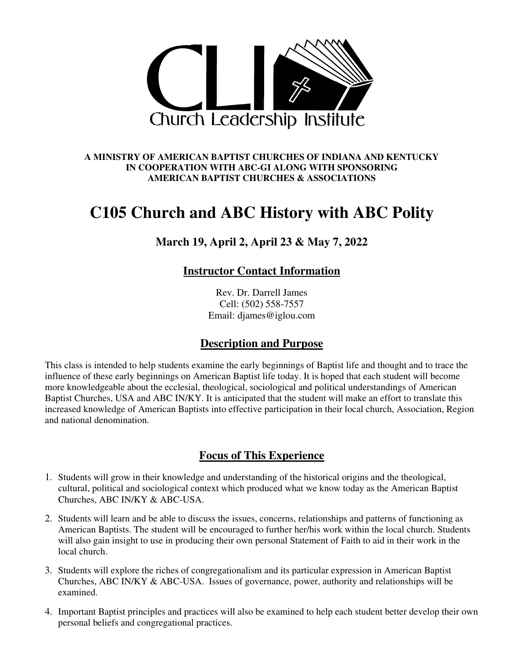

#### **A MINISTRY OF AMERICAN BAPTIST CHURCHES OF INDIANA AND KENTUCKY IN COOPERATION WITH ABC-GI ALONG WITH SPONSORING AMERICAN BAPTIST CHURCHES & ASSOCIATIONS**

# **C105 Church and ABC History with ABC Polity**

# **March 19, April 2, April 23 & May 7, 2022**

## **Instructor Contact Information**

Rev. Dr. Darrell James Cell: (502) 558-7557 Email: djames@iglou.com

## **Description and Purpose**

This class is intended to help students examine the early beginnings of Baptist life and thought and to trace the influence of these early beginnings on American Baptist life today. It is hoped that each student will become more knowledgeable about the ecclesial, theological, sociological and political understandings of American Baptist Churches, USA and ABC IN/KY. It is anticipated that the student will make an effort to translate this increased knowledge of American Baptists into effective participation in their local church, Association, Region and national denomination.

## **Focus of This Experience**

- 1. Students will grow in their knowledge and understanding of the historical origins and the theological, cultural, political and sociological context which produced what we know today as the American Baptist Churches, ABC IN/KY & ABC-USA.
- 2. Students will learn and be able to discuss the issues, concerns, relationships and patterns of functioning as American Baptists. The student will be encouraged to further her/his work within the local church. Students will also gain insight to use in producing their own personal Statement of Faith to aid in their work in the local church.
- 3. Students will explore the riches of congregationalism and its particular expression in American Baptist Churches, ABC IN/KY & ABC-USA. Issues of governance, power, authority and relationships will be examined.
- 4. Important Baptist principles and practices will also be examined to help each student better develop their own personal beliefs and congregational practices.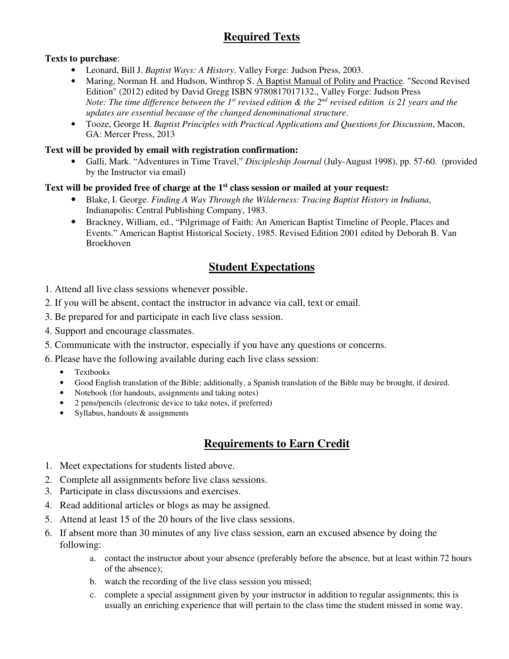# **Required Texts**

### **Texts to purchase**:

- Leonard, Bill J. *Baptist Ways: A History*. Valley Forge: Judson Press, 2003.
- Maring, Norman H. and Hudson, Winthrop S. A Baptist Manual of Polity and Practice. "Second Revised Edition" (2012) edited by David Gregg ISBN 9780817017132., Valley Forge: Judson Press *Note: The time difference between the 1st revised edition & the 2nd revised edition is 21 years and the updates are essential because of the changed denominational structure*.
- Tooze, George H. *Baptist Principles with Practical Applications and Questions for Discussion*, Macon, GA: Mercer Press, 2013

#### **Text will be provided by email with registration confirmation:**

• Galli, Mark. "Adventures in Time Travel," *Discipleship Journal* (July-August 1998), pp. 57-60. (provided by the Instructor via email)

#### **Text will be provided free of charge at the 1st class session or mailed at your request:**

- Blake, I. George. *Finding A Way Through the Wilderness: Tracing Baptist History in Indiana*, Indianapolis: Central Publishing Company, 1983.
- Brackney, William, ed., "Pilgrimage of Faith: An American Baptist Timeline of People, Places and Events." American Baptist Historical Society, 1985. Revised Edition 2001 edited by Deborah B. Van Broekhoven

# **Student Expectations**

- 1. Attend all live class sessions whenever possible.
- 2. If you will be absent, contact the instructor in advance via call, text or email.
- 3. Be prepared for and participate in each live class session.
- 4. Support and encourage classmates.
- 5. Communicate with the instructor, especially if you have any questions or concerns.
- 6. Please have the following available during each live class session:
	- Textbooks
	- Good English translation of the Bible; additionally, a Spanish translation of the Bible may be brought, if desired.
	- Notebook (for handouts, assignments and taking notes)
	- 2 pens/pencils (electronic device to take notes, if preferred)
	- Syllabus, handouts  $&$  assignments

## **Requirements to Earn Credit**

- 1. Meet expectations for students listed above.
- 2. Complete all assignments before live class sessions.
- 3. Participate in class discussions and exercises.
- 4. Read additional articles or blogs as may be assigned.
- 5. Attend at least 15 of the 20 hours of the live class sessions.
- 6. If absent more than 30 minutes of any live class session, earn an excused absence by doing the following:
	- a. contact the instructor about your absence (preferably before the absence, but at least within 72 hours of the absence);
	- b. watch the recording of the live class session you missed;
	- c. complete a special assignment given by your instructor in addition to regular assignments; this is usually an enriching experience that will pertain to the class time the student missed in some way.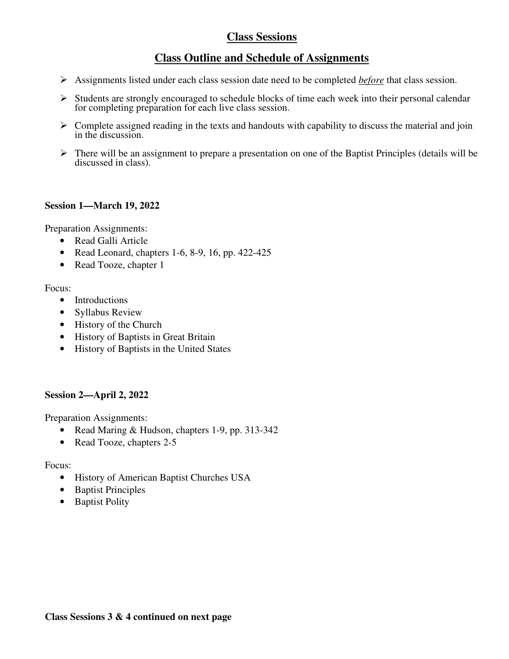# **Class Sessions**

## **Class Outline and Schedule of Assignments**

- Assignments listed under each class session date need to be completed *before* that class session.
- Students are strongly encouraged to schedule blocks of time each week into their personal calendar for completing preparation for each live class session.
- $\triangleright$  Complete assigned reading in the texts and handouts with capability to discuss the material and join in the discussion.
- There will be an assignment to prepare a presentation on one of the Baptist Principles (details will be discussed in class).

### **Session 1—March 19, 2022**

Preparation Assignments:

- Read Galli Article
- Read Leonard, chapters 1-6, 8-9, 16, pp.  $422-425$
- Read Tooze, chapter 1

### Focus:

- Introductions
- Syllabus Review
- History of the Church
- History of Baptists in Great Britain
- History of Baptists in the United States

### **Session 2—April 2, 2022**

Preparation Assignments:

- Read Maring & Hudson, chapters 1-9, pp. 313-342
- Read Tooze, chapters 2-5

### Focus:

- History of American Baptist Churches USA
- Baptist Principles
- Baptist Polity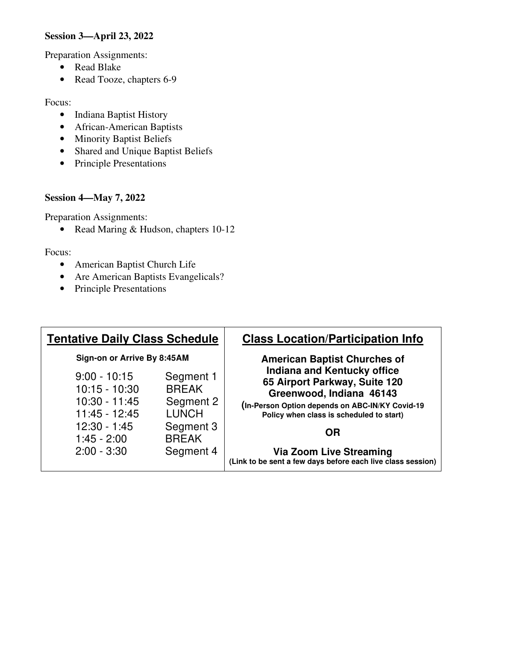### **Session 3—April 23, 2022**

Preparation Assignments:

- Read Blake
- Read Tooze, chapters 6-9

#### Focus:

- Indiana Baptist History
- African-American Baptists
- Minority Baptist Beliefs
- Shared and Unique Baptist Beliefs
- Principle Presentations

#### **Session 4—May 7, 2022**

Preparation Assignments:

• Read Maring & Hudson, chapters 10-12

Focus:

- American Baptist Church Life
- Are American Baptists Evangelicals?
- Principle Presentations

| <b>Class Location/Participation Info</b>                                                                                                                                                       | <b>Tentative Daily Class Schedule</b>                  |                                                                       |
|------------------------------------------------------------------------------------------------------------------------------------------------------------------------------------------------|--------------------------------------------------------|-----------------------------------------------------------------------|
| <b>American Baptist Churches of</b>                                                                                                                                                            | Sign-on or Arrive By 8:45AM                            |                                                                       |
| <b>Indiana and Kentucky office</b><br>65 Airport Parkway, Suite 120<br>Greenwood, Indiana 46143<br>(In-Person Option depends on ABC-IN/KY Covid-19<br>Policy when class is scheduled to start) | Segment 1<br><b>BREAK</b><br>Segment 2<br><b>LUNCH</b> | $9:00 - 10:15$<br>$10:15 - 10:30$<br>$10:30 - 11:45$<br>11:45 - 12:45 |
| <b>OR</b><br><b>Via Zoom Live Streaming</b><br>(Link to be sent a few days before each live class session)                                                                                     | Segment 3<br><b>BREAK</b><br>Segment 4                 | $12:30 - 1:45$<br>$1:45 - 2:00$<br>$2:00 - 3:30$                      |